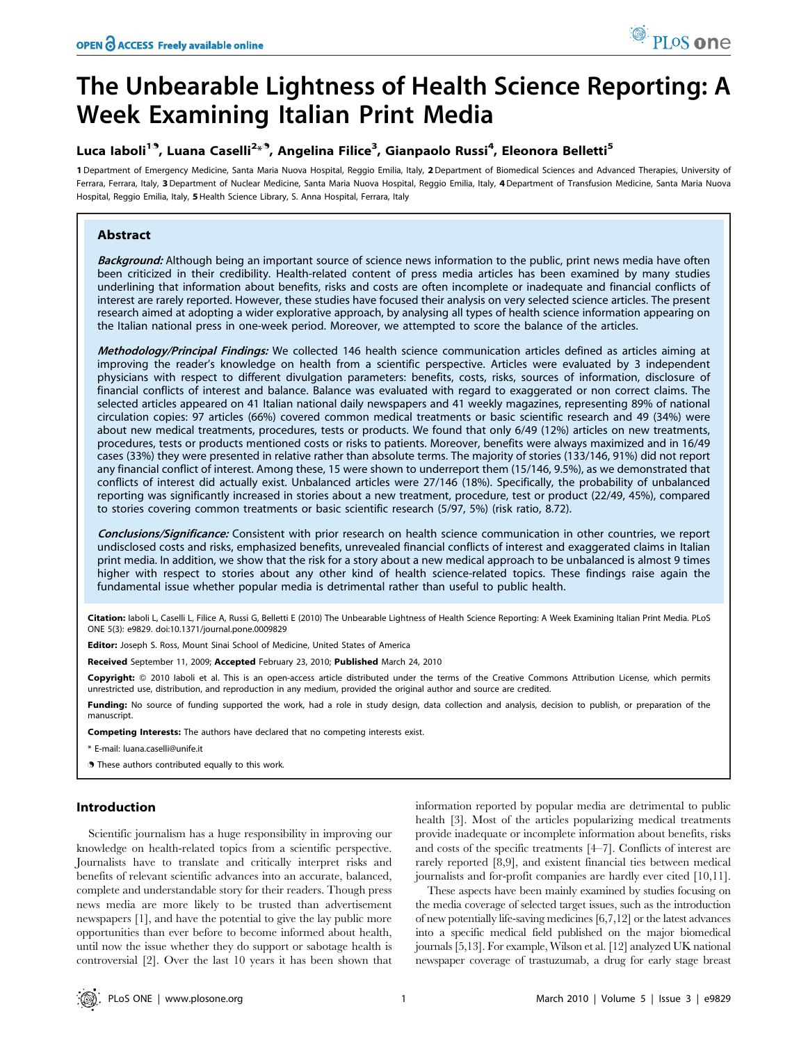# The Unbearable Lightness of Health Science Reporting: A Week Examining Italian Print Media

# Luca Iaboli<sup>19</sup>, Luana Caselli<sup>2</sup>\*<sup>9</sup>, Angelina Filice<sup>3</sup>, Gianpaolo Russi<sup>4</sup>, Eleonora Belletti<sup>5</sup>

1 Department of Emergency Medicine, Santa Maria Nuova Hospital, Reggio Emilia, Italy, 2 Department of Biomedical Sciences and Advanced Therapies, University of Ferrara, Ferrara, Italy, 3 Department of Nuclear Medicine, Santa Maria Nuova Hospital, Reggio Emilia, Italy, 4 Department of Transfusion Medicine, Santa Maria Nuova Hospital, Reggio Emilia, Italy, 5Health Science Library, S. Anna Hospital, Ferrara, Italy

# Abstract

Background: Although being an important source of science news information to the public, print news media have often been criticized in their credibility. Health-related content of press media articles has been examined by many studies underlining that information about benefits, risks and costs are often incomplete or inadequate and financial conflicts of interest are rarely reported. However, these studies have focused their analysis on very selected science articles. The present research aimed at adopting a wider explorative approach, by analysing all types of health science information appearing on the Italian national press in one-week period. Moreover, we attempted to score the balance of the articles.

Methodology/Principal Findings: We collected 146 health science communication articles defined as articles aiming at improving the reader's knowledge on health from a scientific perspective. Articles were evaluated by 3 independent physicians with respect to different divulgation parameters: benefits, costs, risks, sources of information, disclosure of financial conflicts of interest and balance. Balance was evaluated with regard to exaggerated or non correct claims. The selected articles appeared on 41 Italian national daily newspapers and 41 weekly magazines, representing 89% of national circulation copies: 97 articles (66%) covered common medical treatments or basic scientific research and 49 (34%) were about new medical treatments, procedures, tests or products. We found that only 6/49 (12%) articles on new treatments, procedures, tests or products mentioned costs or risks to patients. Moreover, benefits were always maximized and in 16/49 cases (33%) they were presented in relative rather than absolute terms. The majority of stories (133/146, 91%) did not report any financial conflict of interest. Among these, 15 were shown to underreport them (15/146, 9.5%), as we demonstrated that conflicts of interest did actually exist. Unbalanced articles were 27/146 (18%). Specifically, the probability of unbalanced reporting was significantly increased in stories about a new treatment, procedure, test or product (22/49, 45%), compared to stories covering common treatments or basic scientific research (5/97, 5%) (risk ratio, 8.72).

Conclusions/Significance: Consistent with prior research on health science communication in other countries, we report undisclosed costs and risks, emphasized benefits, unrevealed financial conflicts of interest and exaggerated claims in Italian print media. In addition, we show that the risk for a story about a new medical approach to be unbalanced is almost 9 times higher with respect to stories about any other kind of health science-related topics. These findings raise again the fundamental issue whether popular media is detrimental rather than useful to public health.

Citation: laboli L, Caselli L, Filice A, Russi G, Belletti E (2010) The Unbearable Lightness of Health Science Reporting: A Week Examining Italian Print Media. PLoS ONE 5(3): e9829. doi:10.1371/journal.pone.0009829

Editor: Joseph S. Ross, Mount Sinai School of Medicine, United States of America

Received September 11, 2009; Accepted February 23, 2010; Published March 24, 2010

Copyright: © 2010 laboli et al. This is an open-access article distributed under the terms of the Creative Commons Attribution License, which permits unrestricted use, distribution, and reproduction in any medium, provided the original author and source are credited.

Funding: No source of funding supported the work, had a role in study design, data collection and analysis, decision to publish, or preparation of the manuscript.

Competing Interests: The authors have declared that no competing interests exist.

\* E-mail: luana.caselli@unife.it

**.** These authors contributed equally to this work.

# Introduction

Scientific journalism has a huge responsibility in improving our knowledge on health-related topics from a scientific perspective. Journalists have to translate and critically interpret risks and benefits of relevant scientific advances into an accurate, balanced, complete and understandable story for their readers. Though press news media are more likely to be trusted than advertisement newspapers [1], and have the potential to give the lay public more opportunities than ever before to become informed about health, until now the issue whether they do support or sabotage health is controversial [2]. Over the last 10 years it has been shown that

information reported by popular media are detrimental to public health [3]. Most of the articles popularizing medical treatments provide inadequate or incomplete information about benefits, risks and costs of the specific treatments [4–7]. Conflicts of interest are rarely reported [8,9], and existent financial ties between medical journalists and for-profit companies are hardly ever cited [10,11].

These aspects have been mainly examined by studies focusing on the media coverage of selected target issues, such as the introduction of new potentially life-saving medicines [6,7,12] or the latest advances into a specific medical field published on the major biomedical journals [5,13]. For example, Wilson et al. [12] analyzed UK national newspaper coverage of trastuzumab, a drug for early stage breast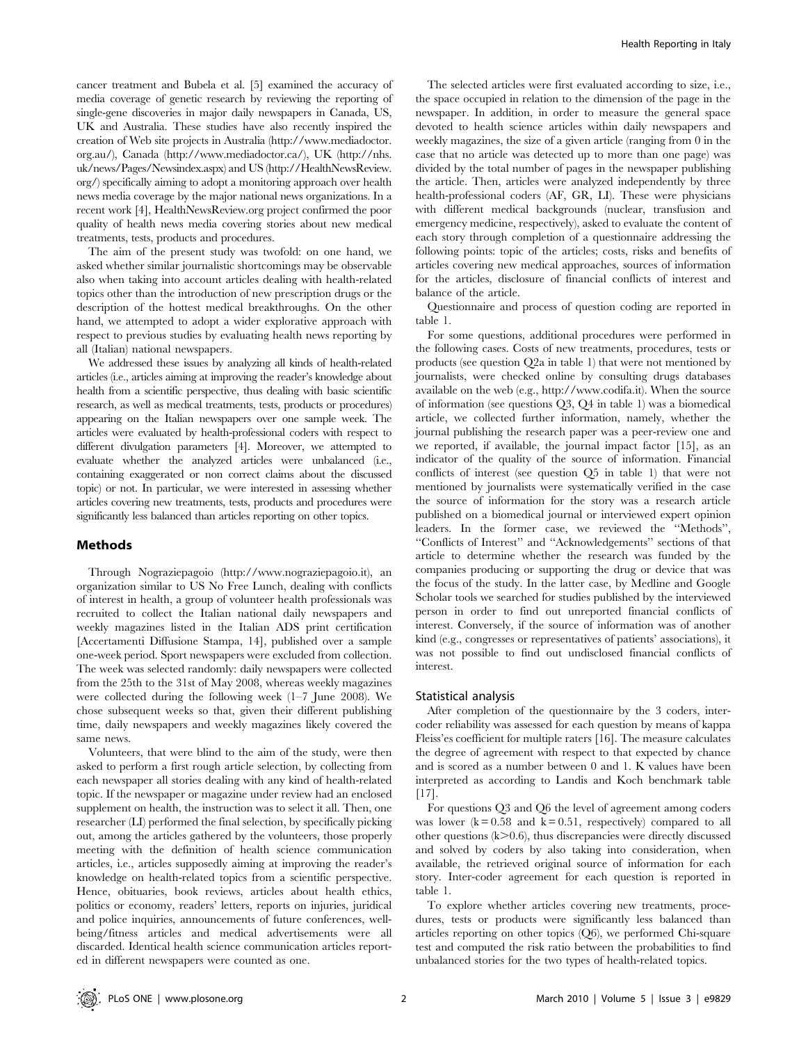cancer treatment and Bubela et al. [5] examined the accuracy of media coverage of genetic research by reviewing the reporting of single-gene discoveries in major daily newspapers in Canada, US, UK and Australia. These studies have also recently inspired the creation of Web site projects in Australia (http://www.mediadoctor. org.au/), Canada (http://www.mediadoctor.ca/), UK (http://nhs. uk/news/Pages/Newsindex.aspx) and US (http://HealthNewsReview. org/) specifically aiming to adopt a monitoring approach over health news media coverage by the major national news organizations. In a recent work [4], HealthNewsReview.org project confirmed the poor quality of health news media covering stories about new medical treatments, tests, products and procedures.

The aim of the present study was twofold: on one hand, we asked whether similar journalistic shortcomings may be observable also when taking into account articles dealing with health-related topics other than the introduction of new prescription drugs or the description of the hottest medical breakthroughs. On the other hand, we attempted to adopt a wider explorative approach with respect to previous studies by evaluating health news reporting by all (Italian) national newspapers.

We addressed these issues by analyzing all kinds of health-related articles (i.e., articles aiming at improving the reader's knowledge about health from a scientific perspective, thus dealing with basic scientific research, as well as medical treatments, tests, products or procedures) appearing on the Italian newspapers over one sample week. The articles were evaluated by health-professional coders with respect to different divulgation parameters [4]. Moreover, we attempted to evaluate whether the analyzed articles were unbalanced (i.e., containing exaggerated or non correct claims about the discussed topic) or not. In particular, we were interested in assessing whether articles covering new treatments, tests, products and procedures were significantly less balanced than articles reporting on other topics.

# Methods

Through Nograziepagoio (http://www.nograziepagoio.it), an organization similar to US No Free Lunch, dealing with conflicts of interest in health, a group of volunteer health professionals was recruited to collect the Italian national daily newspapers and weekly magazines listed in the Italian ADS print certification [Accertamenti Diffusione Stampa, 14], published over a sample one-week period. Sport newspapers were excluded from collection. The week was selected randomly: daily newspapers were collected from the 25th to the 31st of May 2008, whereas weekly magazines were collected during the following week (1–7 June 2008). We chose subsequent weeks so that, given their different publishing time, daily newspapers and weekly magazines likely covered the same news.

Volunteers, that were blind to the aim of the study, were then asked to perform a first rough article selection, by collecting from each newspaper all stories dealing with any kind of health-related topic. If the newspaper or magazine under review had an enclosed supplement on health, the instruction was to select it all. Then, one researcher (LI) performed the final selection, by specifically picking out, among the articles gathered by the volunteers, those properly meeting with the definition of health science communication articles, i.e., articles supposedly aiming at improving the reader's knowledge on health-related topics from a scientific perspective. Hence, obituaries, book reviews, articles about health ethics, politics or economy, readers' letters, reports on injuries, juridical and police inquiries, announcements of future conferences, wellbeing/fitness articles and medical advertisements were all discarded. Identical health science communication articles reported in different newspapers were counted as one.

The selected articles were first evaluated according to size, i.e., the space occupied in relation to the dimension of the page in the newspaper. In addition, in order to measure the general space devoted to health science articles within daily newspapers and weekly magazines, the size of a given article (ranging from 0 in the case that no article was detected up to more than one page) was divided by the total number of pages in the newspaper publishing the article. Then, articles were analyzed independently by three health-professional coders (AF, GR, LI). These were physicians with different medical backgrounds (nuclear, transfusion and emergency medicine, respectively), asked to evaluate the content of each story through completion of a questionnaire addressing the following points: topic of the articles; costs, risks and benefits of articles covering new medical approaches, sources of information for the articles, disclosure of financial conflicts of interest and balance of the article.

Questionnaire and process of question coding are reported in table 1.

For some questions, additional procedures were performed in the following cases. Costs of new treatments, procedures, tests or products (see question Q2a in table 1) that were not mentioned by journalists, were checked online by consulting drugs databases available on the web (e.g., http://www.codifa.it). When the source of information (see questions Q3, Q4 in table 1) was a biomedical article, we collected further information, namely, whether the journal publishing the research paper was a peer-review one and we reported, if available, the journal impact factor [15], as an indicator of the quality of the source of information. Financial conflicts of interest (see question Q5 in table 1) that were not mentioned by journalists were systematically verified in the case the source of information for the story was a research article published on a biomedical journal or interviewed expert opinion leaders. In the former case, we reviewed the ''Methods'', ''Conflicts of Interest'' and ''Acknowledgements'' sections of that article to determine whether the research was funded by the companies producing or supporting the drug or device that was the focus of the study. In the latter case, by Medline and Google Scholar tools we searched for studies published by the interviewed person in order to find out unreported financial conflicts of interest. Conversely, if the source of information was of another kind (e.g., congresses or representatives of patients' associations), it was not possible to find out undisclosed financial conflicts of interest.

#### Statistical analysis

After completion of the questionnaire by the 3 coders, intercoder reliability was assessed for each question by means of kappa Fleiss'es coefficient for multiple raters [16]. The measure calculates the degree of agreement with respect to that expected by chance and is scored as a number between 0 and 1. K values have been interpreted as according to Landis and Koch benchmark table [17].

For questions Q3 and Q6 the level of agreement among coders was lower  $(k = 0.58$  and  $k = 0.51$ , respectively) compared to all other questions  $(k>0.6)$ , thus discrepancies were directly discussed and solved by coders by also taking into consideration, when available, the retrieved original source of information for each story. Inter-coder agreement for each question is reported in table 1.

To explore whether articles covering new treatments, procedures, tests or products were significantly less balanced than articles reporting on other topics (Q6), we performed Chi-square test and computed the risk ratio between the probabilities to find unbalanced stories for the two types of health-related topics.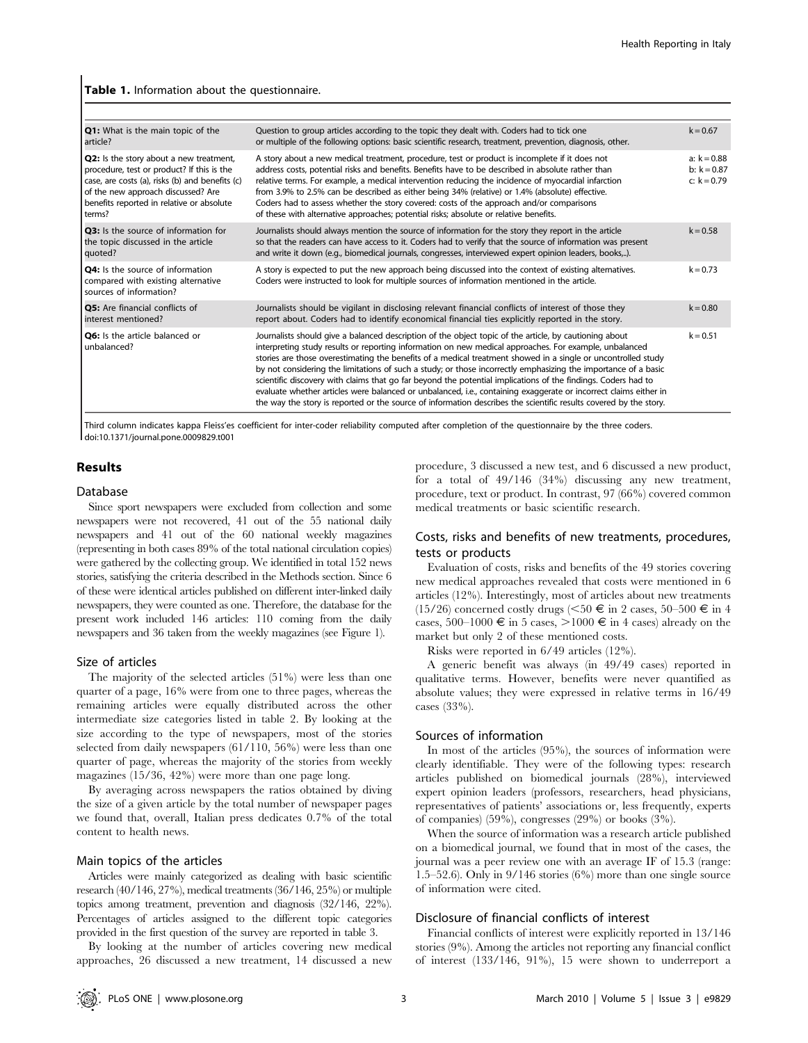#### Table 1. Information about the questionnaire.

| Q1: What is the main topic of the<br>article?                                                                                                                                                                                         | Question to group articles according to the topic they dealt with. Coders had to tick one<br>or multiple of the following options: basic scientific research, treatment, prevention, diagnosis, other.                                                                                                                                                                                                                                                                                                                                                                                                                                                                                                                                                                                                        | $k = 0.67$                                      |
|---------------------------------------------------------------------------------------------------------------------------------------------------------------------------------------------------------------------------------------|---------------------------------------------------------------------------------------------------------------------------------------------------------------------------------------------------------------------------------------------------------------------------------------------------------------------------------------------------------------------------------------------------------------------------------------------------------------------------------------------------------------------------------------------------------------------------------------------------------------------------------------------------------------------------------------------------------------------------------------------------------------------------------------------------------------|-------------------------------------------------|
| Q2: Is the story about a new treatment,<br>procedure, test or product? If this is the<br>case, are costs (a), risks (b) and benefits (c)<br>of the new approach discussed? Are<br>benefits reported in relative or absolute<br>terms? | A story about a new medical treatment, procedure, test or product is incomplete if it does not<br>address costs, potential risks and benefits. Benefits have to be described in absolute rather than<br>relative terms. For example, a medical intervention reducing the incidence of myocardial infarction<br>from 3.9% to 2.5% can be described as either being 34% (relative) or 1.4% (absolute) effective.<br>Coders had to assess whether the story covered: costs of the approach and/or comparisons<br>of these with alternative approaches; potential risks; absolute or relative benefits.                                                                                                                                                                                                           | $a: k = 0.88$<br>b: $k = 0.87$<br>c: $k = 0.79$ |
| <b>Q3:</b> Is the source of information for<br>the topic discussed in the article<br>quoted?                                                                                                                                          | Journalists should always mention the source of information for the story they report in the article<br>so that the readers can have access to it. Coders had to verify that the source of information was present<br>and write it down (e.g., biomedical journals, congresses, interviewed expert opinion leaders, books,).                                                                                                                                                                                                                                                                                                                                                                                                                                                                                  | $k = 0.58$                                      |
| Q4: Is the source of information<br>compared with existing alternative<br>sources of information?                                                                                                                                     | A story is expected to put the new approach being discussed into the context of existing alternatives.<br>Coders were instructed to look for multiple sources of information mentioned in the article.                                                                                                                                                                                                                                                                                                                                                                                                                                                                                                                                                                                                        | $k = 0.73$                                      |
| Q5: Are financial conflicts of<br>interest mentioned?                                                                                                                                                                                 | Journalists should be vigilant in disclosing relevant financial conflicts of interest of those they<br>report about. Coders had to identify economical financial ties explicitly reported in the story.                                                                                                                                                                                                                                                                                                                                                                                                                                                                                                                                                                                                       | $k = 0.80$                                      |
| Q6: Is the article balanced or<br>unbalanced?                                                                                                                                                                                         | Journalists should give a balanced description of the object topic of the article, by cautioning about<br>interpreting study results or reporting information on new medical approaches. For example, unbalanced<br>stories are those overestimating the benefits of a medical treatment showed in a single or uncontrolled study<br>by not considering the limitations of such a study; or those incorrectly emphasizing the importance of a basic<br>scientific discovery with claims that go far beyond the potential implications of the findings. Coders had to<br>evaluate whether articles were balanced or unbalanced, i.e., containing exaggerate or incorrect claims either in<br>the way the story is reported or the source of information describes the scientific results covered by the story. | $k = 0.51$                                      |

Third column indicates kappa Fleiss'es coefficient for inter-coder reliability computed after completion of the questionnaire by the three coders. doi:10.1371/journal.pone.0009829.t001

# Results

#### Database

Since sport newspapers were excluded from collection and some newspapers were not recovered, 41 out of the 55 national daily newspapers and 41 out of the 60 national weekly magazines (representing in both cases 89% of the total national circulation copies) were gathered by the collecting group. We identified in total 152 news stories, satisfying the criteria described in the Methods section. Since 6 of these were identical articles published on different inter-linked daily newspapers, they were counted as one. Therefore, the database for the present work included 146 articles: 110 coming from the daily newspapers and 36 taken from the weekly magazines (see Figure 1).

#### Size of articles

The majority of the selected articles (51%) were less than one quarter of a page, 16% were from one to three pages, whereas the remaining articles were equally distributed across the other intermediate size categories listed in table 2. By looking at the size according to the type of newspapers, most of the stories selected from daily newspapers (61/110, 56%) were less than one quarter of page, whereas the majority of the stories from weekly magazines (15/36, 42%) were more than one page long.

By averaging across newspapers the ratios obtained by diving the size of a given article by the total number of newspaper pages we found that, overall, Italian press dedicates 0.7% of the total content to health news.

## Main topics of the articles

Articles were mainly categorized as dealing with basic scientific research (40/146, 27%), medical treatments (36/146, 25%) or multiple topics among treatment, prevention and diagnosis (32/146, 22%). Percentages of articles assigned to the different topic categories provided in the first question of the survey are reported in table 3.

By looking at the number of articles covering new medical approaches, 26 discussed a new treatment, 14 discussed a new

procedure, 3 discussed a new test, and 6 discussed a new product, for a total of 49/146 (34%) discussing any new treatment, procedure, text or product. In contrast, 97 (66%) covered common medical treatments or basic scientific research.

# Costs, risks and benefits of new treatments, procedures, tests or products

Evaluation of costs, risks and benefits of the 49 stories covering new medical approaches revealed that costs were mentioned in 6 articles (12%). Interestingly, most of articles about new treatments  $(15/26)$  concerned costly drugs  $(<50 \text{ } \in \text{ } \infty$  in 2 cases,  $50-500 \text{ } \in \text{ } \infty$  in 4 cases, 500–1000  $\in$  in 5 cases,  $>$ 1000  $\in$  in 4 cases) already on the market but only 2 of these mentioned costs.

Risks were reported in 6/49 articles (12%).

A generic benefit was always (in 49/49 cases) reported in qualitative terms. However, benefits were never quantified as absolute values; they were expressed in relative terms in 16/49 cases (33%).

#### Sources of information

In most of the articles (95%), the sources of information were clearly identifiable. They were of the following types: research articles published on biomedical journals (28%), interviewed expert opinion leaders (professors, researchers, head physicians, representatives of patients' associations or, less frequently, experts of companies) (59%), congresses (29%) or books (3%).

When the source of information was a research article published on a biomedical journal, we found that in most of the cases, the journal was a peer review one with an average IF of 15.3 (range: 1.5–52.6). Only in 9/146 stories (6%) more than one single source of information were cited.

# Disclosure of financial conflicts of interest

Financial conflicts of interest were explicitly reported in 13/146 stories (9%). Among the articles not reporting any financial conflict of interest (133/146, 91%), 15 were shown to underreport a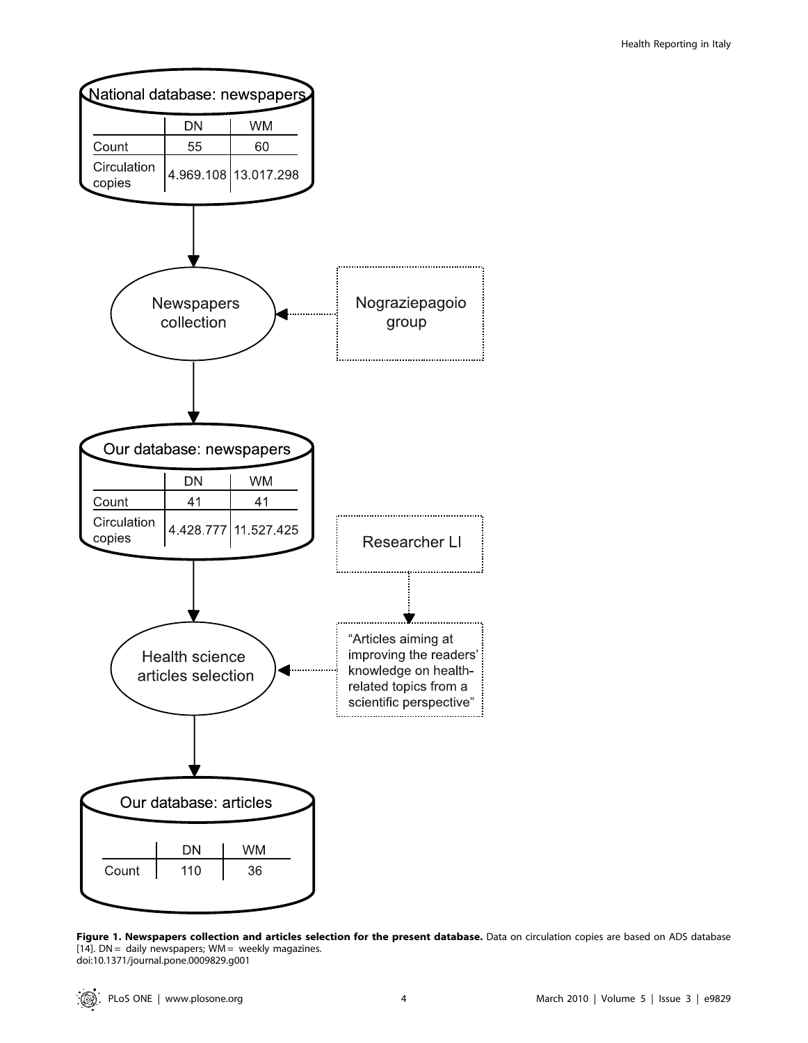

Figure 1. Newspapers collection and articles selection for the present database. Data on circulation copies are based on ADS database [14].  $DN =$  daily newspapers;  $WM =$  weekly magazines. doi:10.1371/journal.pone.0009829.g001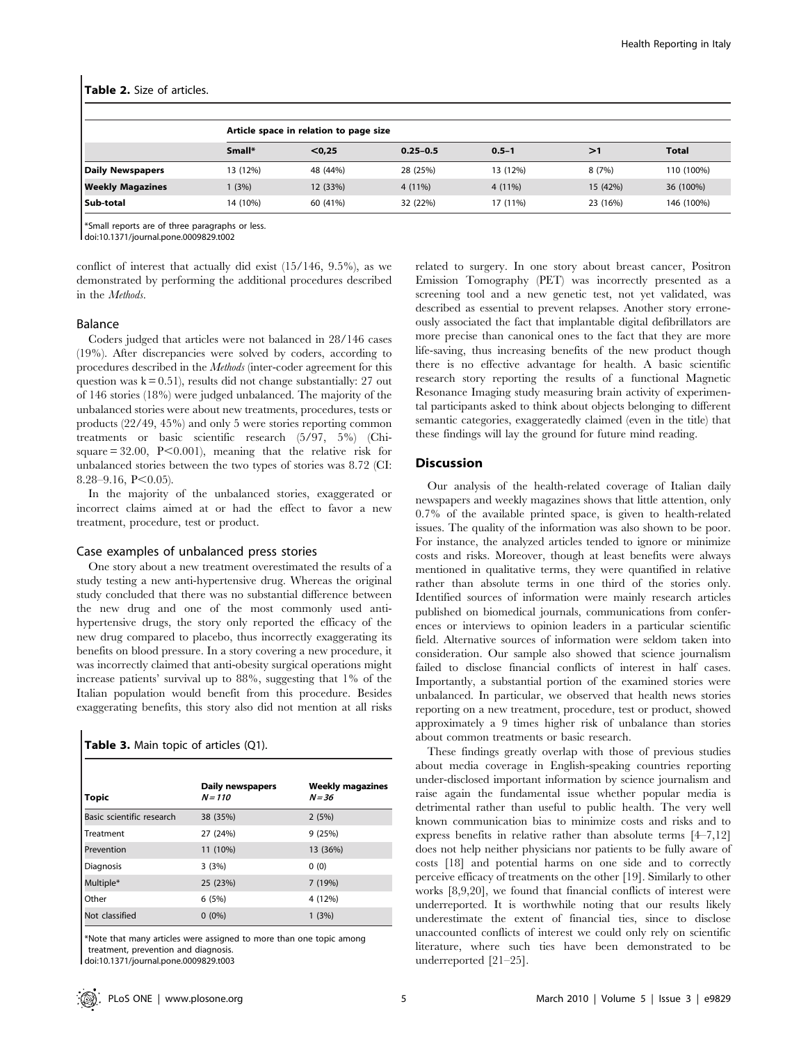#### Table 2. Size of articles.

|                         |          | Article space in relation to page size |              |           |          |              |  |
|-------------------------|----------|----------------------------------------|--------------|-----------|----------|--------------|--|
|                         | Small*   | < 0.25                                 | $0.25 - 0.5$ | $0.5 - 1$ | >1       | <b>Total</b> |  |
| Daily Newspapers        | 13 (12%) | 48 (44%)                               | 28 (25%)     | 13 (12%)  | 8(7%)    | 110 (100%)   |  |
| <b>Weekly Magazines</b> | (3%)     | 12 (33%)                               | $4(11\%)$    | 4 (11%)   | 15 (42%) | 36 (100%)    |  |
| l Sub-total             | 14 (10%) | 60 (41%)                               | 32 (22%)     | 17 (11%)  | 23 (16%) | 146 (100%)   |  |

\*Small reports are of three paragraphs or less.

doi:10.1371/journal.pone.0009829.t002

conflict of interest that actually did exist (15/146, 9.5%), as we demonstrated by performing the additional procedures described in the Methods.

## Balance

Coders judged that articles were not balanced in 28/146 cases (19%). After discrepancies were solved by coders, according to procedures described in the Methods (inter-coder agreement for this question was  $k = 0.51$ , results did not change substantially: 27 out of 146 stories (18%) were judged unbalanced. The majority of the unbalanced stories were about new treatments, procedures, tests or products (22/49, 45%) and only 5 were stories reporting common treatments or basic scientific research (5/97, 5%) (Chisquare  $= 32.00$ ,  $P \le 0.001$ ), meaning that the relative risk for unbalanced stories between the two types of stories was 8.72 (CI: 8.28–9.16, P $<$ 0.05).

In the majority of the unbalanced stories, exaggerated or incorrect claims aimed at or had the effect to favor a new treatment, procedure, test or product.

#### Case examples of unbalanced press stories

One story about a new treatment overestimated the results of a study testing a new anti-hypertensive drug. Whereas the original study concluded that there was no substantial difference between the new drug and one of the most commonly used antihypertensive drugs, the story only reported the efficacy of the new drug compared to placebo, thus incorrectly exaggerating its benefits on blood pressure. In a story covering a new procedure, it was incorrectly claimed that anti-obesity surgical operations might increase patients' survival up to 88%, suggesting that 1% of the Italian population would benefit from this procedure. Besides exaggerating benefits, this story also did not mention at all risks

| Table 3. Main topic of articles (Q1). |  |  |  |  |  |
|---------------------------------------|--|--|--|--|--|
|---------------------------------------|--|--|--|--|--|

| Topic                     | <b>Daily newspapers</b><br>$N = 110$ | <b>Weekly magazines</b><br>$N = 36$ |
|---------------------------|--------------------------------------|-------------------------------------|
| Basic scientific research | 38 (35%)                             | 2(5%)                               |
| l Treatment               | 27 (24%)                             | 9(25%)                              |
| Prevention                | 11 (10%)                             | 13 (36%)                            |
| Diagnosis                 | 3(3%)                                | 0(0)                                |
| Multiple*                 | 25 (23%)                             | 7(19%)                              |
| Other                     | 6(5%)                                | 4 (12%)                             |
| Not classified            | $0(0\%)$                             | 1(3%)                               |

\*Note that many articles were assigned to more than one topic among treatment, prevention and diagnosis.

doi:10.1371/journal.pone.0009829.t003

related to surgery. In one story about breast cancer, Positron Emission Tomography (PET) was incorrectly presented as a screening tool and a new genetic test, not yet validated, was described as essential to prevent relapses. Another story erroneously associated the fact that implantable digital defibrillators are more precise than canonical ones to the fact that they are more life-saving, thus increasing benefits of the new product though there is no effective advantage for health. A basic scientific research story reporting the results of a functional Magnetic Resonance Imaging study measuring brain activity of experimental participants asked to think about objects belonging to different semantic categories, exaggeratedly claimed (even in the title) that these findings will lay the ground for future mind reading.

# Discussion

Our analysis of the health-related coverage of Italian daily newspapers and weekly magazines shows that little attention, only 0.7% of the available printed space, is given to health-related issues. The quality of the information was also shown to be poor. For instance, the analyzed articles tended to ignore or minimize costs and risks. Moreover, though at least benefits were always mentioned in qualitative terms, they were quantified in relative rather than absolute terms in one third of the stories only. Identified sources of information were mainly research articles published on biomedical journals, communications from conferences or interviews to opinion leaders in a particular scientific field. Alternative sources of information were seldom taken into consideration. Our sample also showed that science journalism failed to disclose financial conflicts of interest in half cases. Importantly, a substantial portion of the examined stories were unbalanced. In particular, we observed that health news stories reporting on a new treatment, procedure, test or product, showed approximately a 9 times higher risk of unbalance than stories about common treatments or basic research.

These findings greatly overlap with those of previous studies about media coverage in English-speaking countries reporting under-disclosed important information by science journalism and raise again the fundamental issue whether popular media is detrimental rather than useful to public health. The very well known communication bias to minimize costs and risks and to express benefits in relative rather than absolute terms [4–7,12] does not help neither physicians nor patients to be fully aware of costs [18] and potential harms on one side and to correctly perceive efficacy of treatments on the other [19]. Similarly to other works [8,9,20], we found that financial conflicts of interest were underreported. It is worthwhile noting that our results likely underestimate the extent of financial ties, since to disclose unaccounted conflicts of interest we could only rely on scientific literature, where such ties have been demonstrated to be underreported [21–25].